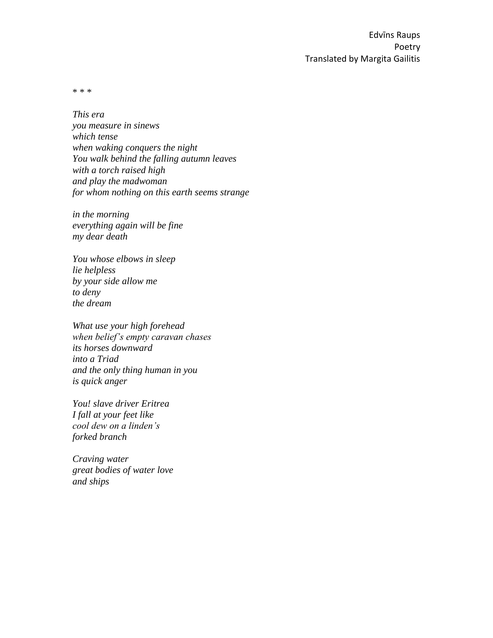\* \* \*

*This era you measure in sinews which tense when waking conquers the night You walk behind the falling autumn leaves with a torch raised high and play the madwoman for whom nothing on this earth seems strange*

*in the morning everything again will be fine my dear death*

*You whose elbows in sleep lie helpless by your side allow me to deny the dream*

*What use your high forehead when belief's empty caravan chases its horses downward into a Triad and the only thing human in you is quick anger*

*You! slave driver Eritrea I fall at your feet like cool dew on a linden's forked branch*

*Craving water great bodies of water love and ships*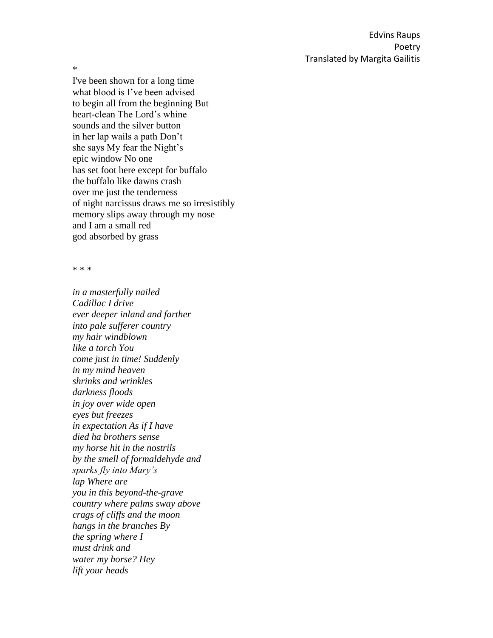\*

I've been shown for a long time what blood is I've been advised to begin all from the beginning But heart-clean The Lord's whine sounds and the silver button in her lap wails a path Don't she says My fear the Night's epic window No one has set foot here except for buffalo the buffalo like dawns crash over me just the tenderness of night narcissus draws me so irresistibly memory slips away through my nose and I am a small red god absorbed by grass

\* \* \*

*in a masterfully nailed Cadillac I drive ever deeper inland and farther into pale sufferer country my hair windblown like a torch You come just in time! Suddenly in my mind heaven shrinks and wrinkles darkness floods in joy over wide open eyes but freezes in expectation As if I have died ha brothers sense my horse hit in the nostrils by the smell of formaldehyde and sparks fly into Mary's lap Where are you in this beyond-the-grave country where palms sway above crags of cliffs and the moon hangs in the branches By the spring where I must drink and water my horse? Hey lift your heads*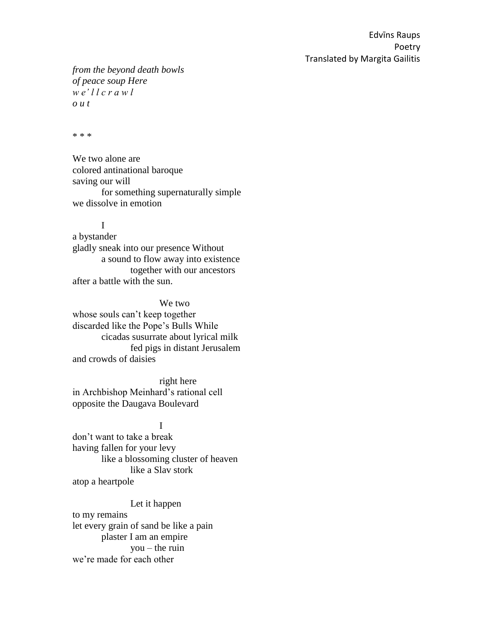*from the beyond death bowls of peace soup Here w e' l l c r a w l o u t*

\* \* \*

We two alone are colored antinational baroque saving our will for something supernaturally simple we dissolve in emotion

I

a bystander gladly sneak into our presence Without a sound to flow away into existence together with our ancestors after a battle with the sun.

We two whose souls can't keep together discarded like the Pope's Bulls While cicadas susurrate about lyrical milk fed pigs in distant Jerusalem and crowds of daisies

right here in Archbishop Meinhard's rational cell opposite the Daugava Boulevard

I don't want to take a break having fallen for your levy like a blossoming cluster of heaven like a Slav stork atop a heartpole

Let it happen to my remains let every grain of sand be like a pain plaster I am an empire  $you - the ruin$ we're made for each other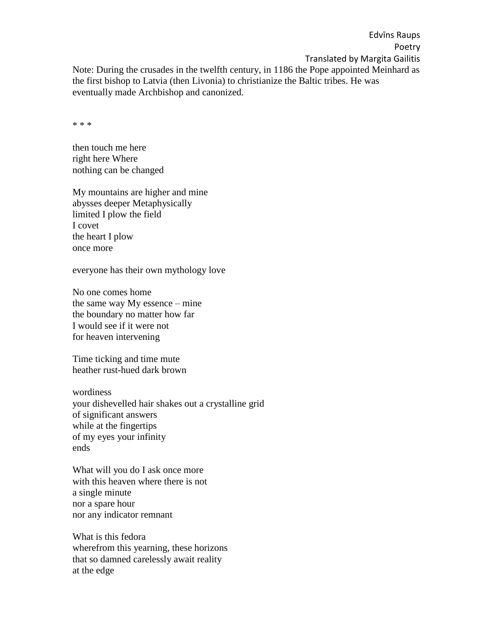Edvīns Raups Poetry Translated by Margita Gailitis Note: During the crusades in the twelfth century, in 1186 the Pope appointed Meinhard as the first bishop to Latvia (then Livonia) to christianize the Baltic tribes. He was eventually made Archbishop and canonized.

\* \* \*

then touch me here right here Where nothing can be changed

My mountains are higher and mine abysses deeper Metaphysically limited I plow the field I covet the heart I plow once more

everyone has their own mythology love

No one comes home the same way My essence – mine the boundary no matter how far I would see if it were not for heaven intervening

Time ticking and time mute heather rust-hued dark brown

wordiness your dishevelled hair shakes out a crystalline grid of significant answers while at the fingertips of my eyes your infinity ends

What will you do I ask once more with this heaven where there is not a single minute nor a spare hour nor any indicator remnant

What is this fedora wherefrom this yearning, these horizons that so damned carelessly await reality at the edge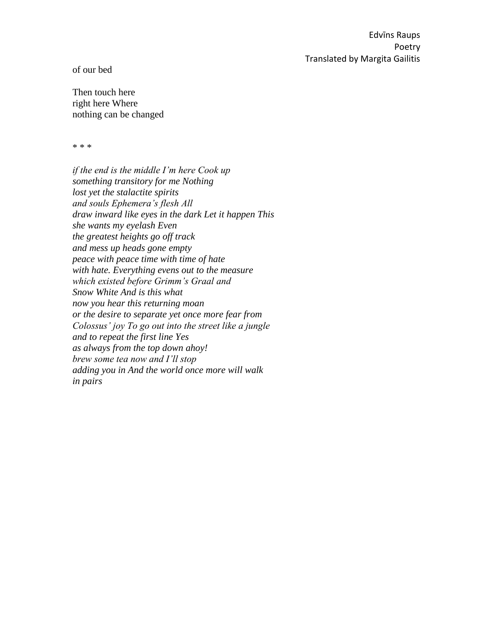of our bed

Then touch here right here Where nothing can be changed

\* \* \*

*if the end is the middle I'm here Cook up something transitory for me Nothing lost yet the stalactite spirits and souls Ephemera's flesh All draw inward like eyes in the dark Let it happen This she wants my eyelash Even the greatest heights go off track and mess up heads gone empty peace with peace time with time of hate with hate. Everything evens out to the measure which existed before Grimm's Graal and Snow White And is this what now you hear this returning moan or the desire to separate yet once more fear from Colossus' joy To go out into the street like a jungle and to repeat the first line Yes as always from the top down ahoy! brew some tea now and I'll stop adding you in And the world once more will walk in pairs*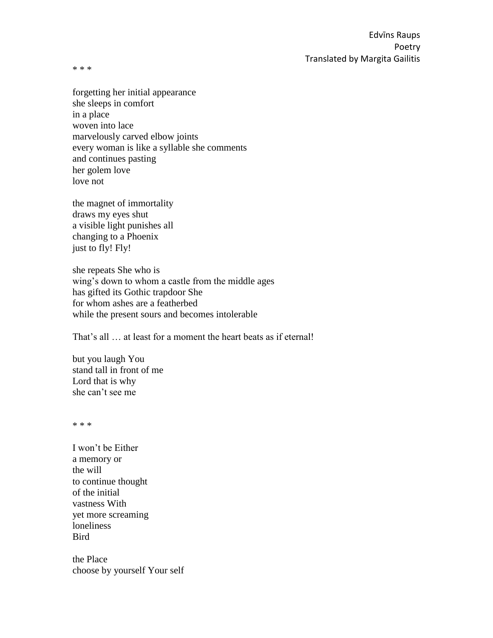\* \* \*

forgetting her initial appearance she sleeps in comfort in a place woven into lace marvelously carved elbow joints every woman is like a syllable she comments and continues pasting her golem love love not

the magnet of immortality draws my eyes shut a visible light punishes all changing to a Phoenix just to fly! Fly!

she repeats She who is wing's down to whom a castle from the middle ages has gifted its Gothic trapdoor She for whom ashes are a featherbed while the present sours and becomes intolerable

That's all … at least for a moment the heart beats as if eternal!

but you laugh You stand tall in front of me Lord that is why she can't see me

\* \* \*

I won't be Either a memory or the will to continue thought of the initial vastness With yet more screaming loneliness **Bird** 

the Place choose by yourself Your self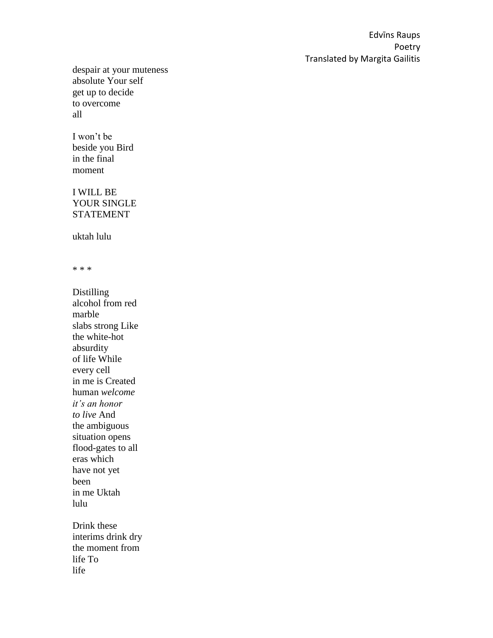despair at your muteness absolute Your self get up to decide to overcome all

## I won't be beside you Bird in the final

moment

## I WILL BE YOUR SINGLE STATEMENT

uktah lulu

\* \* \*

Distilling alcohol from red marble slabs strong Like the white-hot absurdity of life While every cell in me is Created human *welcome it's an honor to live* And the ambiguous situation opens flood-gates to all eras which have not yet been in me Uktah lulu Drink these interims drink dry

the moment from life To life